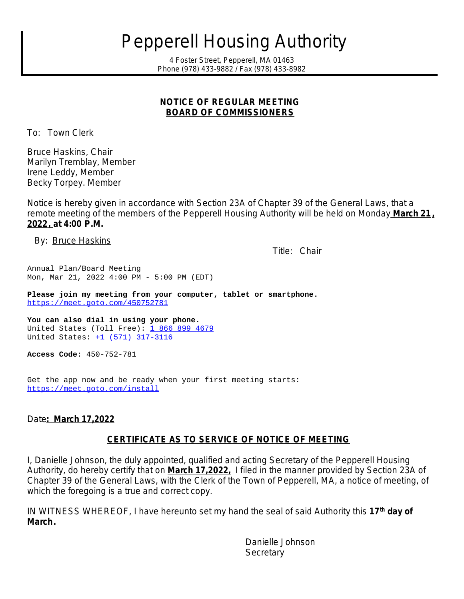# *Pepperell Housing Authority*

*4 Foster Street, Pepperell, MA 01463 Phone (978) 433-9882 / Fax (978) 433-8982*

#### **NOTICE OF REGULAR MEETING BOARD OF COMMISSIONERS**

To: Town Clerk

Bruce Haskins, Chair Marilyn Tremblay, Member Irene Leddy, Member Becky Torpey. Member

Notice is hereby given in accordance with Section 23A of Chapter 39 of the General Laws, that a remote meeting of the members of the Pepperell Housing Authority will be held on Monday **March 21, 2022, at 4:00 P.M.**

By: Bruce Haskins

Title: Chair

Annual Plan/Board Meeting Mon, Mar 21, 2022 4:00 PM - 5:00 PM (EDT)

**Please join my meeting from your computer, tablet or smartphone.**  <https://meet.goto.com/450752781>

**You can also dial in using your phone.** United States (Toll Free):  $18668994679$ United States: [+1 \(571\) 317-3116](tel:+15713173116,,450752781)

**Access Code:** 450-752-781

Get the app now and be ready when your first meeting starts: <https://meet.goto.com/install>

Date**: March 17,2022**

#### **CERTIFICATE AS TO SERVICE OF NOTICE OF MEETING**

I, Danielle Johnson, the duly appointed, qualified and acting Secretary of the Pepperell Housing Authority, do hereby certify that on **March 17,2022,** I filed in the manner provided by Section 23A of Chapter 39 of the General Laws, with the Clerk of the Town of Pepperell, MA, a notice of meeting, of which the foregoing is a true and correct copy.

IN WITNESS WHEREOF, I have hereunto set my hand the seal of said Authority this **17th day of March.**

> Danielle Johnson **Secretary**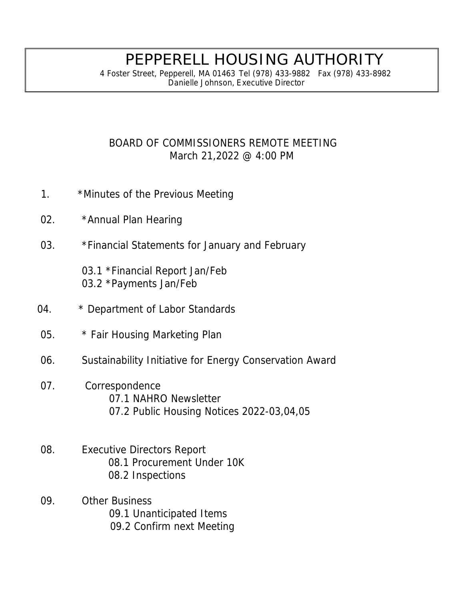## PEPPERELL HOUSING AUTHORITY

4 Foster Street, Pepperell, MA 01463 Tel (978) 433-9882 Fax (978) 433-8982  *Danielle Johnson, Executive Director*

### BOARD OF COMMISSIONERS REMOTE MEETING March 21,2022 @ 4:00 PM

- 1. \*Minutes of the Previous Meeting
- 02. \* Annual Plan Hearing
- 03. \*Financial Statements for January and February

03.1 \*Financial Report Jan/Feb 03.2 \*Payments Jan/Feb

- 04. \* Department of Labor Standards
- 05. \* Fair Housing Marketing Plan
- 06. Sustainability Initiative for Energy Conservation Award
- 07. Correspondence 07.1 NAHRO Newsletter 07.2 Public Housing Notices 2022-03,04,05
- 08. Executive Directors Report 08.1 Procurement Under 10K 08.2 Inspections
- 09. Other Business 09.1 Unanticipated Items 09.2 Confirm next Meeting